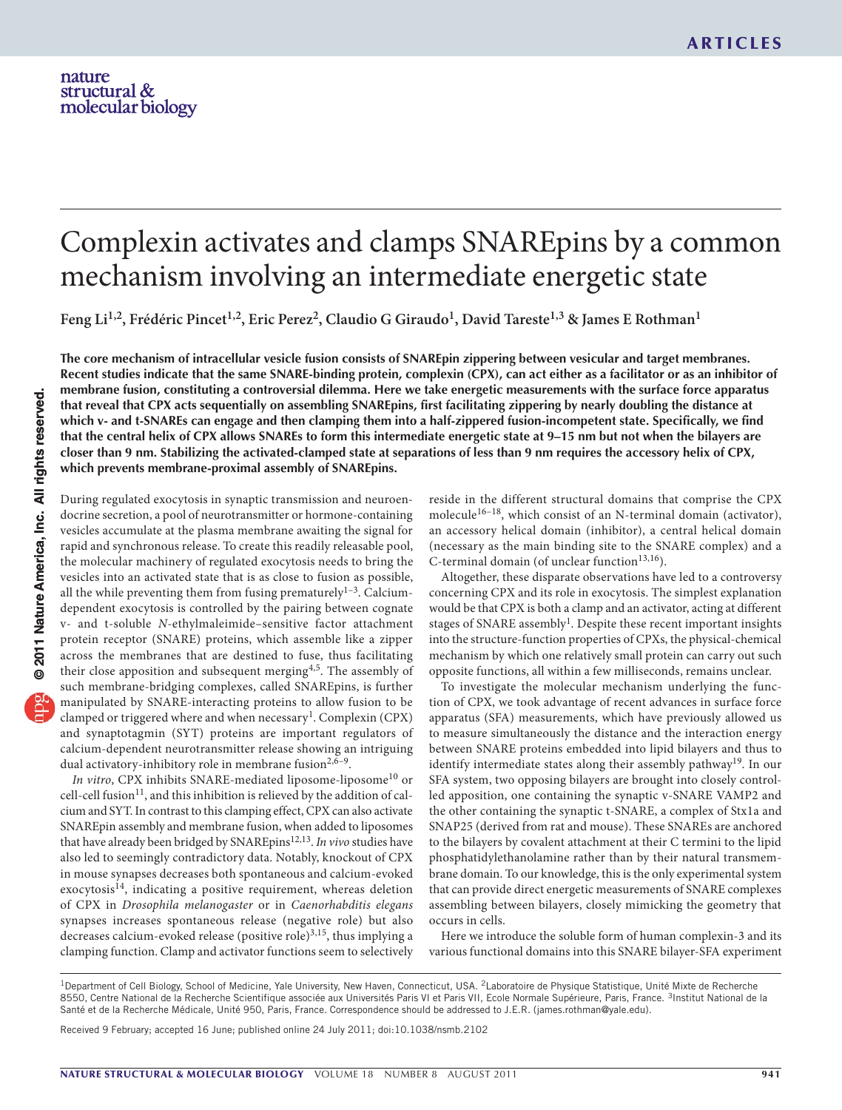# Complexin activates and clamps SNAREpins by a common mechanism involving an intermediate energetic state

Feng Li<sup>1,2</sup>, Frédéric Pincet<sup>1,2</sup>, Eric Perez<sup>2</sup>, Claudio G Giraudo<sup>1</sup>, David Tareste<sup>1,3</sup> & James E Rothman<sup>1</sup>

The core mechanism of intracellular vesicle fusion consists of SNAREpin zippering between vesicular and target membranes. Recent studies indicate that the same SNARE-binding protein, complexin (CPX), can act either as a facilitator or as an inhibitor of membrane fusion, constituting a controversial dilemma. Here we take energetic measurements with the surface force apparatus that reveal that CPX acts sequentially on assembling SNAREpins, first facilitating zippering by nearly doubling the distance at which v- and t-SNAREs can engage and then clamping them into a half-zippered fusion-incompetent state. Specifically, we find that the central helix of CPX allows SNAREs to form this intermediate energetic state at 9–15 nm but not when the bilayers are closer than 9 nm. Stabilizing the activated-clamped state at separations of less than 9 nm requires the accessory helix of CPX, **which prevents membrane-proximal assembly of SNAREpins.**

During regulated exocytosis in synaptic transmission and neuroendocrine secretion, a pool of neurotransmitter or hormone-containing vesicles accumulate at the plasma membrane awaiting the signal for rapid and synchronous release. To create this readily releasable pool, the molecular machinery of regulated exocytosis needs to bring the vesicles into an activated state that is as close to fusion as possible, all the while preventing them from fusing prematurely $1-3$ . Calciumdependent exocytosis is controlled by the pairing between cognate v- and t-soluble *N*-ethylmaleimide–sensitive factor attachment protein receptor (SNARE) proteins, which assemble like a zipper across the membranes that are destined to fuse, thus facilitating their close apposition and subsequent merging<sup>[4,](#page-5-2)5</sup>. The assembly of such membrane-bridging complexes, called SNAREpins, is further manipulated by SNARE-interacting proteins to allow fusion to be clamped or triggered where and when  $n$ ecessary<sup>[1](#page-5-0)</sup>. Complexin (CPX) and synaptotagmin (SYT) proteins are important regulators of calcium-dependent neurotransmitter release showing an intriguing dual activatory-inhibitory role in membrane fusion<sup>[2,](#page-5-4)6-9</sup>.

*In vitro*, CPX inhibits SNARE-mediated liposome-liposome<sup>10</sup> or cell-cell fusion<sup>11</sup>, and this inhibition is relieved by the addition of calcium and SYT. In contrast to this clamping effect, CPX can also activate SNAREpin assembly and membrane fusion, when added to liposomes that have already been bridged by SNAREpins<sup>[12,](#page-5-9)[13](#page-5-10)</sup>. In vivo studies have also led to seemingly contradictory data. Notably, knockout of CPX in mouse synapses decreases both spontaneous and calcium-evoked exocytosis<sup>14</sup>, indicating a positive requirement, whereas deletion of CPX in *Drosophila melanogaster* or in *Caenorhabditis elegans* synapses increases spontaneous release (negative role) but also decreases calcium-evoked release (positive role) $3,15$  $3,15$ , thus implying a clamping function. Clamp and activator functions seem to selectively

reside in the different structural domains that comprise the CPX molecule<sup>16-18</sup>, which consist of an N-terminal domain (activator), an accessory helical domain (inhibitor), a central helical domain (necessary as the main binding site to the SNARE complex) and a C-terminal domain (of unclear function $13,16$  $13,16$ ).

Altogether, these disparate observations have led to a controversy concerning CPX and its role in exocytosis. The simplest explanation would be that CPX is both a clamp and an activator, acting at different stages of SNARE assembly<sup>1</sup>. Despite these recent important insights into the structure-function properties of CPXs, the physical-chemical mechanism by which one relatively small protein can carry out such opposite functions, all within a few milliseconds, remains unclear.

To investigate the molecular mechanism underlying the function of CPX, we took advantage of recent advances in surface force apparatus (SFA) measurements, which have previously allowed us to measure simultaneously the distance and the interaction energy between SNARE proteins embedded into lipid bilayers and thus to identify intermediate states along their assembly pathway<sup>[19](#page-5-15)</sup>. In our SFA system, two opposing bilayers are brought into closely controlled apposition, one containing the synaptic v-SNARE VAMP2 and the other containing the synaptic t-SNARE, a complex of Stx1a and SNAP25 (derived from rat and mouse). These SNAREs are anchored to the bilayers by covalent attachment at their C termini to the lipid phosphatidylethanolamine rather than by their natural transmembrane domain. To our knowledge, this is the only experimental system that can provide direct energetic measurements of SNARE complexes assembling between bilayers, closely mimicking the geometry that occurs in cells.

Here we introduce the soluble form of human complexin-3 and its various functional domains into this SNARE bilayer-SFA experiment

Received 9 February; accepted 16 June; published online 24 July 2011; [doi:10.1038/nsmb.2102](http://www.nature.com/doifinder/10.1038/nsmb.2102)

<sup>&</sup>lt;sup>1</sup>Department of Cell Biology, School of Medicine, Yale University, New Haven, Connecticut, USA. <sup>2</sup>Laboratoire de Physique Statistique, Unité Mixte de Recherche 8550, Centre National de la Recherche Scientifique associée aux Universités Paris VI et Paris VII, Ecole Normale Supérieure, Paris, France. <sup>3</sup>Institut National de la Santé et de la Recherche Médicale, Unité 950, Paris, France. Correspondence should be addressed to J.E.R. (james.rothman@yale.edu).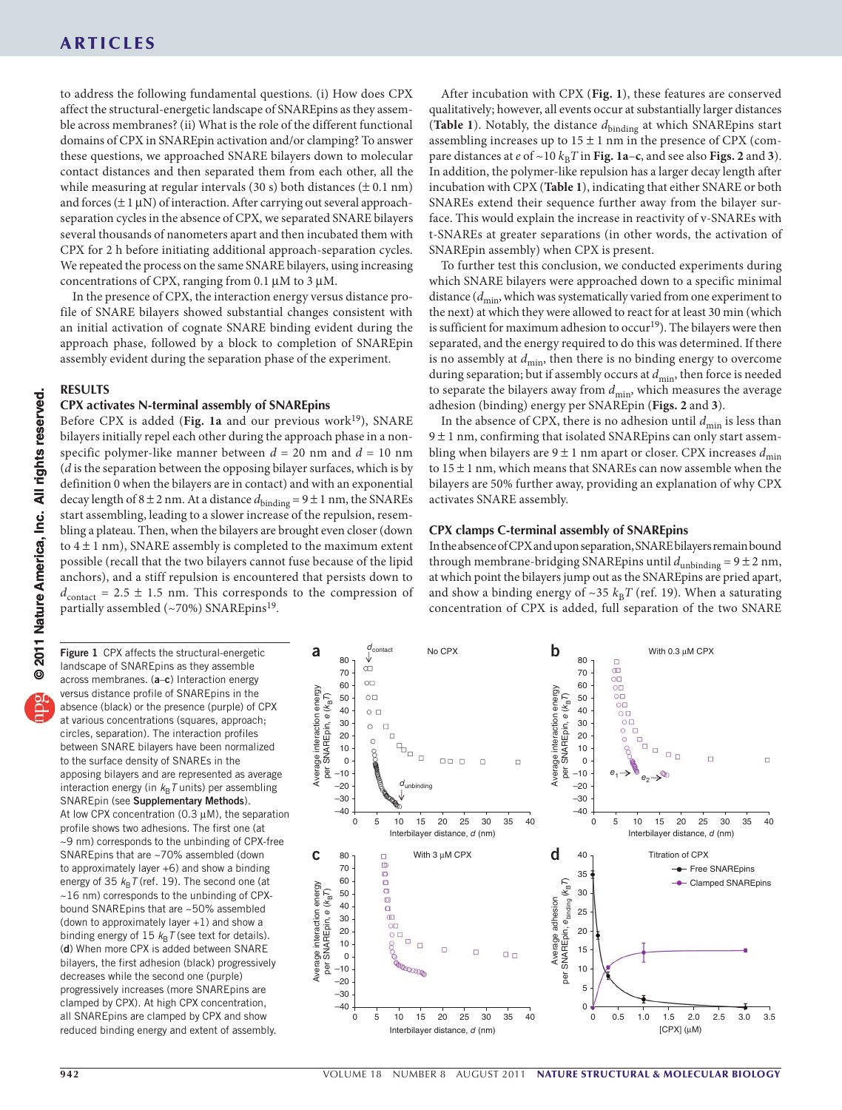to address the following fundamental questions. (i) How does CPX affect the structural-energetic landscape of SNAREpins as they assemble across membranes? (ii) What is the role of the different functional domains of CPX in SNAREpin activation and/or clamping? To answer these questions, we approached SNARE bilayers down to molecular contact distances and then separated them from each other, all the while measuring at regular intervals (30 s) both distances  $(\pm 0.1 \text{ nm})$ and forces  $(\pm 1 \mu N)$  of interaction. After carrying out several approachseparation cycles in the absence of CPX, we separated SNARE bilayers several thousands of nanometers apart and then incubated them with CPX for 2 h before initiating additional approach-separation cycles. We repeated the process on the same SNARE bilayers, using increasing concentrations of CPX, ranging from 0.1 µM to 3 µM.

In the presence of CPX, the interaction energy versus distance profile of SNARE bilayers showed substantial changes consistent with an initial activation of cognate SNARE binding evident during the approach phase, followed by a block to completion of SNAREpin assembly evident during the separation phase of the experiment.

Before CPX is added (**[Fig. 1a](#page-1-0)** and our previous work<sup>19</sup>), SNARE bilayers initially repel each other during the approach phase in a nonspecific polymer-like manner between *d* = 20 nm and *d* = 10 nm (*d* is the separation between the opposing bilayer surfaces, which is by definition 0 when the bilayers are in contact) and with an exponential decay length of  $8 \pm 2$  nm. At a distance  $d_{\text{binding}} = 9 \pm 1$  nm, the SNAREs start assembling, leading to a slower increase of the repulsion, resembling a plateau. Then, when the bilayers are brought even closer (down to  $4 \pm 1$  nm), SNARE assembly is completed to the maximum extent possible (recall that the two bilayers cannot fuse because of the lipid anchors), and a stiff repulsion is encountered that persists down to  $d_{\text{contact}} = 2.5 \pm 1.5 \text{ nm}$ . This corresponds to the compression of

### **RESULTS**

# **CPX activates N-terminal assembly of SNAREpins**

<span id="page-1-0"></span>Figure 1 CPX affects the structural-energetic landscape of SNAREpins as they assemble across membranes. (a-c) Interaction energy versus distance profile of SNAREpins in the absence (black) or the presence (purple) of CPX at various concentrations (squares, approach; circles, separation). The interaction profiles between SNARE bilayers have been normalized to the surface density of SNAREs in the apposing bilayers and are represented as average interaction energy (in  $k_B T$  units) per assembling SNAREpin (see Supplementary Methods). At low CPX concentration (0.3 µM), the separation profile shows two adhesions. The first one (at ~9 nm) corresponds to the unbinding of CPX-free SNAREpins that are ~70% assembled (down to approximately layer +6) and show a binding energy of 35  $k_B T$  (ref. 19). The second one (at ~16 nm) corresponds to the unbinding of CPXbound SNAREpins that are ~50% assembled (down to approximately layer  $+1$ ) and show a binding energy of 15  $k_B T$  (see text for details). (d) When more CPX is added between SNARE bilayers, the first adhesion (black) progressively decreases while the second one (purple) progressively increases (more SNAREpins are clamped by CPX). At high CPX concentration, all SNAREpins are clamped by CPX and show

reduced binding energy and extent of assembly.

partially assembled  $(\sim 70\%)$  SNAREpins<sup>19</sup>.



After incubation with CPX (**[Fig. 1](#page-1-0)**), these features are conserved qualitatively; however, all events occur at substantially larger distances ([Table 1](#page-2-0)). Notably, the distance  $d_{\text{binding}}$  at which SNAREpins start assembling increases up to  $15 \pm 1$  nm in the presence of CPX (compare distances at  $e$  of  $\sim$ 10  $k_B T$  in [Fig. 1a](#page-1-0)–c, and see also [Figs. 2](#page-2-1) and 3). In addition, the polymer-like repulsion has a larger decay length after incubation with CPX (**[Table 1](#page-2-0)**), indicating that either SNARE or both SNAREs extend their sequence further away from the bilayer surface. This would explain the increase in reactivity of v-SNAREs with t-SNAREs at greater separations (in other words, the activation of SNAREpin assembly) when CPX is present.

To further test this conclusion, we conducted experiments during which SNARE bilayers were approached down to a specific minimal distance ( $d_{\text{min}}$ , which was systematically varied from one experiment to the next) at which they were allowed to react for at least 30 min (which is sufficient for maximum adhesion to  $\mathrm{occur}^{19}$  $\mathrm{occur}^{19}$  $\mathrm{occur}^{19}$ ). The bilayers were then separated, and the energy required to do this was determined. If there is no assembly at  $d_{\text{min}}$ , then there is no binding energy to overcome during separation; but if assembly occurs at  $d_{\min}$ , then force is needed to separate the bilayers away from  $d_{\text{min}}$ , which measures the average adhesion (binding) energy per SNAREpin (**[Figs. 2](#page-2-1)** and **3**).

In the absence of CPX, there is no adhesion until  $d_{\min}$  is less than 9 ± 1 nm, confirming that isolated SNAREpins can only start assembling when bilayers are  $9 \pm 1$  nm apart or closer. CPX increases  $d_{\text{min}}$ to  $15 \pm 1$  nm, which means that SNAREs can now assemble when the bilayers are 50% further away, providing an explanation of why CPX activates SNARE assembly.

### **CPX clamps C-terminal assembly of SNAREpins**

In the absence of CPX and upon separation, SNARE bilayers remain bound through membrane-bridging SNAREpins until  $d_{\text{unbinding}} = 9 \pm 2 \text{ nm}$ , at which point the bilayers jump out as the SNAREpins are pried apart, and show a binding energy of  $\sim$ 35  $k_B T$  (ref. 19). When a saturating concentration of CPX is added, full separation of the two SNARE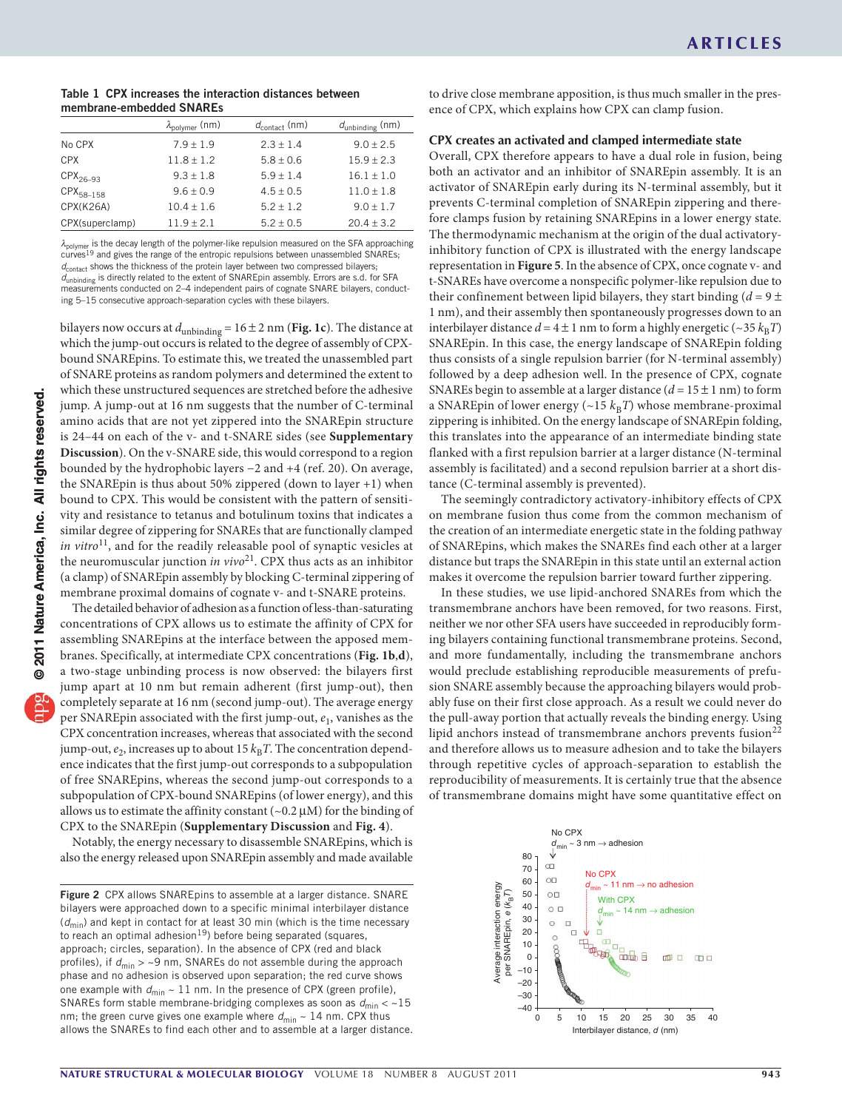### <span id="page-2-0"></span>Table 1 CPX increases the interaction distances between membrane-embedded SNAREs

|                 | $\lambda_{\text{polymer}}$ (nm) | $d_{\text{contact}}$ (nm) | $d_{\text{unbinding}}$ (nm) |
|-----------------|---------------------------------|---------------------------|-----------------------------|
| No CPX          | $7.9 + 1.9$                     | $2.3 \pm 1.4$             | $9.0 + 2.5$                 |
| <b>CPX</b>      | $11.8 + 1.2$                    | $5.8 + 0.6$               | $15.9 + 2.3$                |
| $CPX_{26-93}$   | $9.3 \pm 1.8$                   | $5.9 + 1.4$               | $16.1 + 1.0$                |
| $CPX_{58-158}$  | $9.6 + 0.9$                     | $4.5 + 0.5$               | $11.0 + 1.8$                |
| CPX(K26A)       | $10.4 + 1.6$                    | $5.2 + 1.2$               | $9.0 + 1.7$                 |
| CPX(superclamp) | $11.9 + 2.1$                    | $5.2 \pm 0.5$             | $20.4 + 3.2$                |

 $\lambda_{\text{nolvmer}}$  is the decay length of the polymer-like repulsion measured on the SFA approaching curves<sup>19</sup> and gives the range of the entropic repulsions between unassembled SNAREs;  $d_{\text{contact}}$  shows the thickness of the protein layer between two compressed bilayers; *d*unbinding is directly related to the extent of SNAREpin assembly. Errors are s.d. for SFA measurements conducted on 2–4 independent pairs of cognate SNARE bilayers, conducting 5–15 consecutive approach-separation cycles with these bilayers.

bilayers now occurs at  $d_{\text{unbinding}} = 16 \pm 2 \text{ nm}$  ([Fig. 1c](#page-1-0)). The distance at which the jump-out occurs is related to the degree of assembly of CPXbound SNAREpins. To estimate this, we treated the unassembled part of SNARE proteins as random polymers and determined the extent to which these unstructured sequences are stretched before the adhesive jump. A jump-out at 16 nm suggests that the number of C-terminal amino acids that are not yet zippered into the SNAREpin structure is 24–44 on each of the v- and t-SNARE sides (see **Supplementary Discussion**). On the v-SNARE side, this would correspond to a region bounded by the hydrophobic layers −2 and +4 (ref. 20). On average, the SNAREpin is thus about 50% zippered (down to layer +1) when bound to CPX. This would be consistent with the pattern of sensitivity and resistance to tetanus and botulinum toxins that indicates a similar degree of zippering for SNAREs that are functionally clamped *in vitro*<sup>[11](#page-5-8)</sup>, and for the readily releasable pool of synaptic vesicles at the neuromuscular junction *in vivo*<sup>[21](#page-5-16)</sup>. CPX thus acts as an inhibitor (a clamp) of SNAREpin assembly by blocking C-terminal zippering of membrane proximal domains of cognate v- and t-SNARE proteins.

The detailed behavior of adhesion as a function of less-than-saturating concentrations of CPX allows us to estimate the affinity of CPX for assembling SNAREpins at the interface between the apposed membranes. Specifically, at intermediate CPX concentrations (**[Fig. 1b](#page-1-0)**,**d**), a two-stage unbinding process is now observed: the bilayers first jump apart at 10 nm but remain adherent (first jump-out), then completely separate at 16 nm (second jump-out). The average energy per SNAREpin associated with the first jump-out,  $e_1$ , vanishes as the CPX concentration increases, whereas that associated with the second jump-out,  $e_2$ , increases up to about 15  $k_B T$ . The concentration dependence indicates that the first jump-out corresponds to a subpopulation of free SNAREpins, whereas the second jump-out corresponds to a subpopulation of CPX-bound SNAREpins (of lower energy), and this allows us to estimate the affinity constant  $(-0.2 \mu M)$  for the binding of CPX to the SNAREpin (**Supplementary Discussion** and **[Fig. 4](#page-3-0)**).

Notably, the energy necessary to disassemble SNAREpins, which is also the energy released upon SNAREpin assembly and made available

to drive close membrane apposition, is thus much smaller in the presence of CPX, which explains how CPX can clamp fusion.

### **CPX creates an activated and clamped intermediate state**

Overall, CPX therefore appears to have a dual role in fusion, being both an activator and an inhibitor of SNAREpin assembly. It is an activator of SNAREpin early during its N-terminal assembly, but it prevents C-terminal completion of SNAREpin zippering and therefore clamps fusion by retaining SNAREpins in a lower energy state. The thermodynamic mechanism at the origin of the dual activatoryinhibitory function of CPX is illustrated with the energy landscape representation in **[Figure 5](#page-4-0)**. In the absence of CPX, once cognate v- and t-SNAREs have overcome a nonspecific polymer-like repulsion due to their confinement between lipid bilayers, they start binding  $(d = 9 \pm 1)$ 1 nm), and their assembly then spontaneously progresses down to an interbilayer distance  $d = 4 \pm 1$  nm to form a highly energetic (~35  $k_B T$ ) SNAREpin. In this case, the energy landscape of SNAREpin folding thus consists of a single repulsion barrier (for N-terminal assembly) followed by a deep adhesion well. In the presence of CPX, cognate SNAREs begin to assemble at a larger distance  $(d = 15 \pm 1 \text{ nm})$  to form a SNAREpin of lower energy ( $\sim$ 15  $k_B$ *T*) whose membrane-proximal zippering is inhibited. On the energy landscape of SNAREpin folding, this translates into the appearance of an intermediate binding state flanked with a first repulsion barrier at a larger distance (N-terminal assembly is facilitated) and a second repulsion barrier at a short distance (C-terminal assembly is prevented).

The seemingly contradictory activatory-inhibitory effects of CPX on membrane fusion thus come from the common mechanism of the creation of an intermediate energetic state in the folding pathway of SNAREpins, which makes the SNAREs find each other at a larger distance but traps the SNAREpin in this state until an external action makes it overcome the repulsion barrier toward further zippering.

In these studies, we use lipid-anchored SNAREs from which the transmembrane anchors have been removed, for two reasons. First, neither we nor other SFA users have succeeded in reproducibly forming bilayers containing functional transmembrane proteins. Second, and more fundamentally, including the transmembrane anchors would preclude establishing reproducible measurements of prefusion SNARE assembly because the approaching bilayers would probably fuse on their first close approach. As a result we could never do the pull-away portion that actually reveals the binding energy. Using lipid anchors instead of transmembrane anchors prevents fusion $^{22}$  $^{22}$  $^{22}$ and therefore allows us to measure adhesion and to take the bilayers through repetitive cycles of approach-separation to establish the reproducibility of measurements. It is certainly true that the absence of transmembrane domains might have some quantitative effect on



<span id="page-2-1"></span>Figure 2 CPX allows SNAREpins to assemble at a larger distance. SNARE bilayers were approached down to a specific minimal interbilayer distance ( $d_{\text{min}}$ ) and kept in contact for at least 30 min (which is the time necessary to reach an optimal adhesion<sup>[19](#page-5-15)</sup>) before being separated (squares, approach; circles, separation). In the absence of CPX (red and black profiles), if  $d_{\text{min}} >$  ~9 nm, SNAREs do not assemble during the approach phase and no adhesion is observed upon separation; the red curve shows one example with  $d_{\text{min}} \sim 11$  nm. In the presence of CPX (green profile), SNAREs form stable membrane-bridging complexes as soon as  $d_{\text{min}} < -15$ nm; the green curve gives one example where  $d_{\text{min}} \sim 14$  nm. CPX thus allows the SNAREs to find each other and to assemble at a larger distance.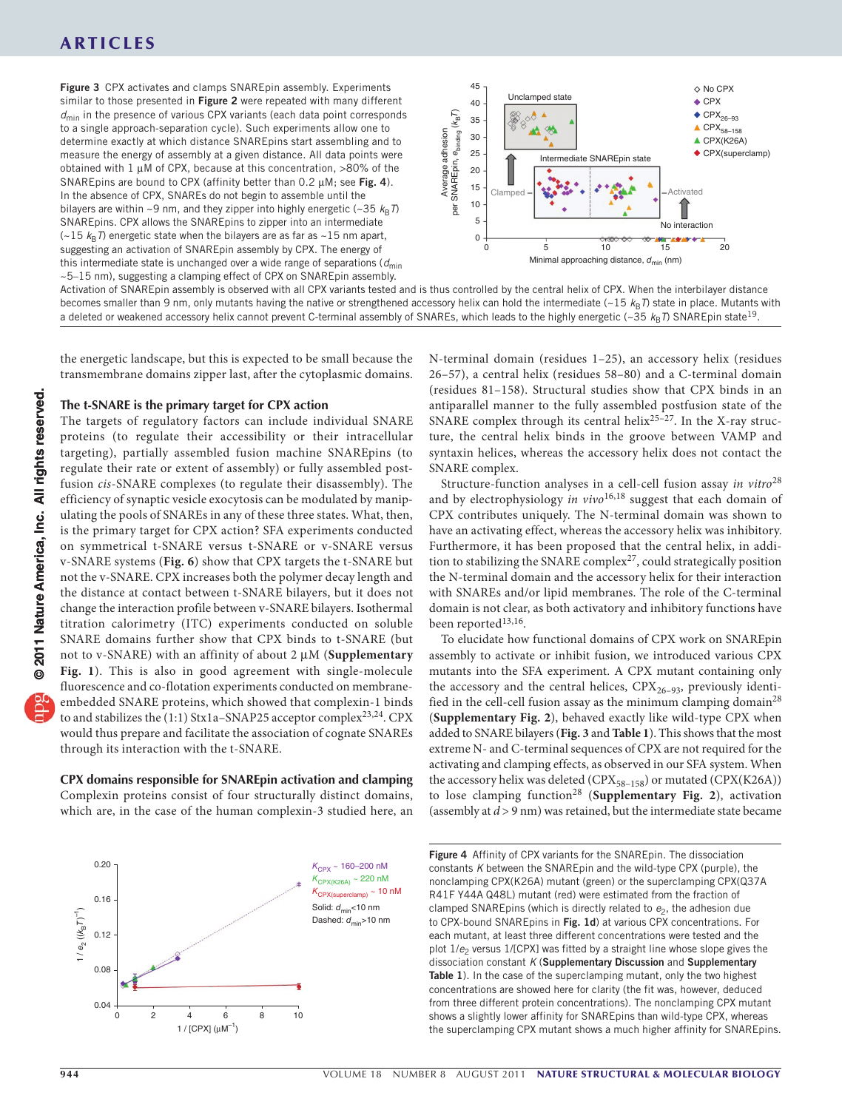<span id="page-3-1"></span>Figure 3 CPX activates and clamps SNAREpin assembly. Experiments similar to those presented in [Figure 2](#page-2-1) were repeated with many different  $d_{\text{min}}$  in the presence of various CPX variants (each data point corresponds to a single approach-separation cycle). Such experiments allow one to determine exactly at which distance SNAREpins start assembling and to measure the energy of assembly at a given distance. All data points were obtained with 1 µM of CPX, because at this concentration, >80% of the SNAREpins are bound to CPX (affinity better than  $0.2 \mu$ M; see [Fig. 4](#page-3-0)). In the absence of CPX, SNAREs do not begin to assemble until the bilayers are within ~9 nm, and they zipper into highly energetic (~35  $k_B T$ ) SNAREpins. CPX allows the SNAREpins to zipper into an intermediate  $(-15 \text{ kg}T)$  energetic state when the bilayers are as far as  $\sim$ 15 nm apart, suggesting an activation of SNAREpin assembly by CPX. The energy of this intermediate state is unchanged over a wide range of separations  $(d_{\text{min}})$  $\sim$  5–15 nm), suggesting a clamping effect of CPX on SNAREpin assembly.



Activation of SNAREpin assembly is observed with all CPX variants tested and is thus controlled by the central helix of CPX. When the interbilayer distance becomes smaller than 9 nm, only mutants having the native or strengthened accessory helix can hold the intermediate  $(-15 \text{ kg})$  state in place. Mutants with a deleted or weakened accessory helix cannot prevent C-terminal assembly of SNAREs, which leads to the highly energetic (~35  $k_B T$ ) SNAREpin state<sup>[19](#page-5-15)</sup>.

the energetic landscape, but this is expected to be small because the transmembrane domains zipper last, after the cytoplasmic domains.

### **The t-SNARE is the primary target for CPX action**

The targets of regulatory factors can include individual SNARE proteins (to regulate their accessibility or their intracellular targeting), partially assembled fusion machine SNAREpins (to regulate their rate or extent of assembly) or fully assembled postfusion *cis*-SNARE complexes (to regulate their disassembly). The efficiency of synaptic vesicle exocytosis can be modulated by manipulating the pools of SNAREs in any of these three states. What, then, is the primary target for CPX action? SFA experiments conducted on symmetrical t-SNARE versus t-SNARE or v-SNARE versus v-SNARE systems (**[Fig. 6](#page-4-1)**) show that CPX targets the t-SNARE but not the v-SNARE. CPX increases both the polymer decay length and the distance at contact between t-SNARE bilayers, but it does not change the interaction profile between v-SNARE bilayers. Isothermal titration calorimetry (ITC) experiments conducted on soluble SNARE domains further show that CPX binds to t-SNARE (but not to v-SNARE) with an affinity of about 2 µM (**Supplementary Fig. 1**). This is also in good agreement with single-molecule fluorescence and co-flotation experiments conducted on membraneembedded SNARE proteins, which showed that complexin-1 binds to and stabilizes the  $(1:1)$  Stx1a-SNAP25 acceptor complex<sup>[23,](#page-5-18)[24](#page-5-19)</sup>. CPX would thus prepare and facilitate the association of cognate SNAREs through its interaction with the t-SNARE.

**CPX domains responsible for SNAREpin activation and clamping** Complexin proteins consist of four structurally distinct domains, which are, in the case of the human complexin-3 studied here, an



N-terminal domain (residues 1–25), an accessory helix (residues 26–57), a central helix (residues 58–80) and a C-terminal domain (residues 81–158). Structural studies show that CPX binds in an antiparallel manner to the fully assembled postfusion state of the SNARE complex through its central helix<sup>[25–](#page-5-20)27</sup>. In the X-ray structure, the central helix binds in the groove between VAMP and syntaxin helices, whereas the accessory helix does not contact the SNARE complex.

Structure-function analyses in a cell-cell fusion assay *in vitro*[28](#page-5-22) and by electrophysiology *in vivo*[16,](#page-5-13)[18](#page-5-14) suggest that each domain of CPX contributes uniquely. The N-terminal domain was shown to have an activating effect, whereas the accessory helix was inhibitory. Furthermore, it has been proposed that the central helix, in addi-tion to stabilizing the SNARE complex<sup>[27](#page-5-21)</sup>, could strategically position the N-terminal domain and the accessory helix for their interaction with SNAREs and/or lipid membranes. The role of the C-terminal domain is not clear, as both activatory and inhibitory functions have been reported<sup>[13,](#page-5-10)[16](#page-5-13)</sup>.

To elucidate how functional domains of CPX work on SNAREpin assembly to activate or inhibit fusion, we introduced various CPX mutants into the SFA experiment. A CPX mutant containing only the accessory and the central helices,  $CPX_{26-93}$ , previously identi-fied in the cell-cell fusion assay as the minimum clamping domain<sup>[28](#page-5-22)</sup> (**Supplementary Fig. 2**), behaved exactly like wild-type CPX when added to SNARE bilayers (**[Fig. 3](#page-3-1)** and **[Table 1](#page-2-0)**). This shows that the most extreme N- and C-terminal sequences of CPX are not required for the activating and clamping effects, as observed in our SFA system. When the accessory helix was deleted ( $CPX_{58-158}$ ) or mutated ( $CPX(K26A)$ ) to lose clamping function<sup>28</sup> (Supplementary Fig. 2), activation (assembly at *d* > 9 nm) was retained, but the intermediate state became

<span id="page-3-0"></span>Figure 4 Affinity of CPX variants for the SNAREpin. The dissociation constants *K* between the SNAREpin and the wild-type CPX (purple), the nonclamping CPX(K26A) mutant (green) or the superclamping CPX(Q37A R41F Y44A Q48L) mutant (red) were estimated from the fraction of clamped SNAREpins (which is directly related to  $e_2$ , the adhesion due to CPX-bound SNAREpins in [Fig. 1d](#page-1-0)) at various CPX concentrations. For each mutant, at least three different concentrations were tested and the plot  $1/e$ <sub>2</sub> versus  $1/[CPX]$  was fitted by a straight line whose slope gives the dissociation constant *K* (Supplementary Discussion and Supplementary Table 1). In the case of the superclamping mutant, only the two highest concentrations are showed here for clarity (the fit was, however, deduced from three different protein concentrations). The nonclamping CPX mutant shows a slightly lower affinity for SNAREpins than wild-type CPX, whereas the superclamping CPX mutant shows a much higher affinity for SNAREpins.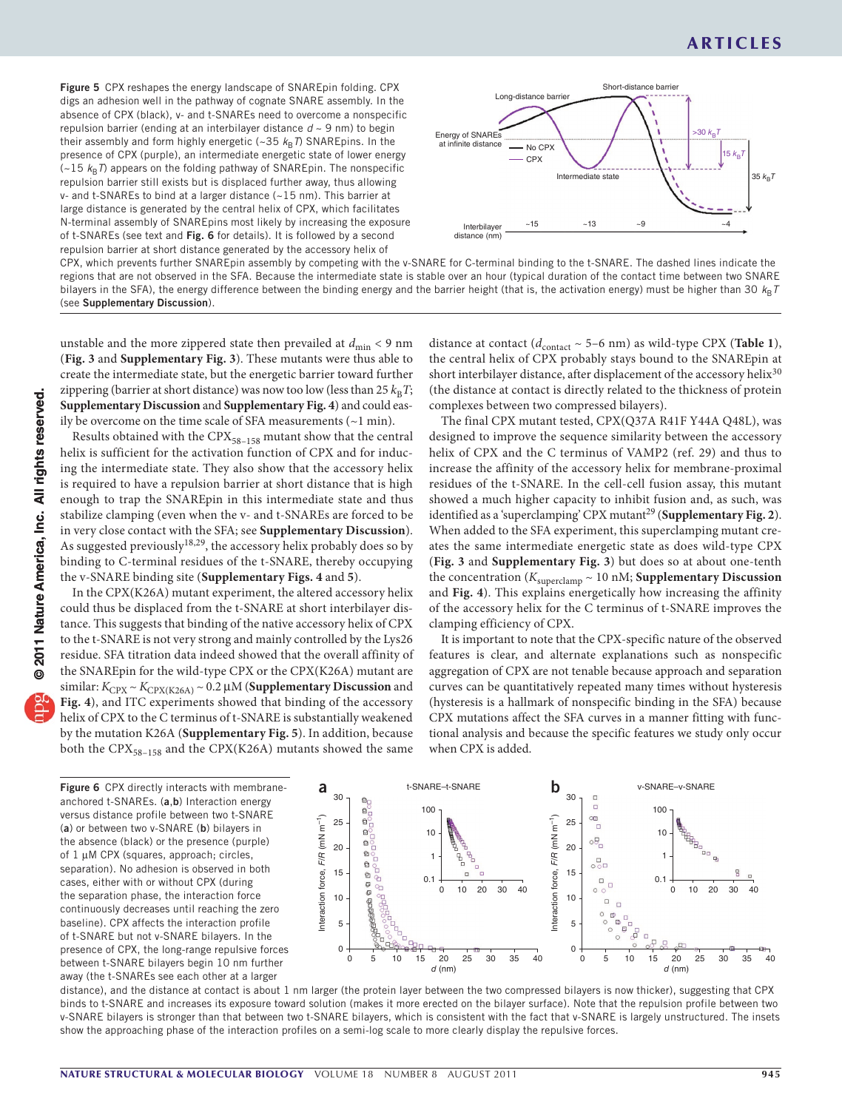# **ARTICLES**

<span id="page-4-0"></span>Figure 5 CPX reshapes the energy landscape of SNAREpin folding. CPX digs an adhesion well in the pathway of cognate SNARE assembly. In the absence of CPX (black), v- and t-SNAREs need to overcome a nonspecific repulsion barrier (ending at an interbilayer distance  $d \sim 9$  nm) to begin their assembly and form highly energetic (~35  $k_B T$ ) SNAREpins. In the presence of CPX (purple), an intermediate energetic state of lower energy  $(-15 \text{ k}_{\text{B}}$ *T*) appears on the folding pathway of SNAREpin. The nonspecific repulsion barrier still exists but is displaced further away, thus allowing v- and t-SNAREs to bind at a larger distance (~15 nm). This barrier at large distance is generated by the central helix of CPX, which facilitates N-terminal assembly of SNAREpins most likely by increasing the exposure of t-SNAREs (see text and [Fig. 6](#page-4-1) for details). It is followed by a second repulsion barrier at short distance generated by the accessory helix of



CPX, which prevents further SNAREpin assembly by competing with the v-SNARE for C-terminal binding to the t-SNARE. The dashed lines indicate the regions that are not observed in the SFA. Because the intermediate state is stable over an hour (typical duration of the contact time between two SNARE bilayers in the SFA), the energy difference between the binding energy and the barrier height (that is, the activation energy) must be higher than 30  $k_B T$ (see Supplementary Discussion).

unstable and the more zippered state then prevailed at  $d_{\text{min}}$  < 9 nm (**[Fig. 3](#page-3-1)** and **Supplementary Fig. 3**). These mutants were thus able to create the intermediate state, but the energetic barrier toward further zippering (barrier at short distance) was now too low (less than 25  $k_B T$ ; **Supplementary Discussion** and **Supplementary Fig. 4**) and could easily be overcome on the time scale of SFA measurements (~1 min).

Results obtained with the  $\rm CPX_{58-158}$  mutant show that the central helix is sufficient for the activation function of CPX and for inducing the intermediate state. They also show that the accessory helix is required to have a repulsion barrier at short distance that is high enough to trap the SNAREpin in this intermediate state and thus stabilize clamping (even when the v- and t-SNAREs are forced to be in very close contact with the SFA; see **Supplementary Discussion**). As suggested previously<sup>[18,](#page-5-14)29</sup>, the accessory helix probably does so by binding to C-terminal residues of the t-SNARE, thereby occupying the v-SNARE binding site (**Supplementary Figs. 4** and **5**).

In the CPX(K26A) mutant experiment, the altered accessory helix could thus be displaced from the t-SNARE at short interbilayer distance. This suggests that binding of the native accessory helix of CPX to the t-SNARE is not very strong and mainly controlled by the Lys26 residue. SFA titration data indeed showed that the overall affinity of the SNAREpin for the wild-type CPX or the CPX(K26A) mutant are  $\sin$ ilar:  $K_{CPX} \sim K_{CPX(K26A)} \sim 0.2 \mu M$  (**Supplementary Discussion** and **[Fig. 4](#page-3-0)**), and ITC experiments showed that binding of the accessory helix of CPX to the C terminus of t-SNARE is substantially weakened by the mutation K26A (**Supplementary Fig. 5**). In addition, because both the  $CPX_{58-158}$  and the  $CPX(K26A)$  mutants showed the same

distance at contact ( $d_{\text{contact}} \sim 5-6$  nm) as wild-type CPX (**[Table 1](#page-2-0)**), the central helix of CPX probably stays bound to the SNAREpin at short interbilayer distance, after displacement of the accessory helix $30$ (the distance at contact is directly related to the thickness of protein complexes between two compressed bilayers).

The final CPX mutant tested, CPX(Q37A R41F Y44A Q48L), was designed to improve the sequence similarity between the accessory helix of CPX and the C terminus of VAMP2 (ref. 29) and thus to increase the affinity of the accessory helix for membrane-proximal residues of the t-SNARE. In the cell-cell fusion assay, this mutant showed a much higher capacity to inhibit fusion and, as such, was identified as a 'superclamping' CPX mutant<sup>[29](#page-5-23)</sup> (**Supplementary Fig. 2**). When added to the SFA experiment, this superclamping mutant creates the same intermediate energetic state as does wild-type CPX (**[Fig. 3](#page-3-1)** and **Supplementary Fig. 3**) but does so at about one-tenth the concentration  $(K_{\text{superclamp}} \sim 10 \text{ nM};$  **Supplementary Discussion** and **[Fig. 4](#page-3-0)**). This explains energetically how increasing the affinity of the accessory helix for the C terminus of t-SNARE improves the clamping efficiency of CPX.

It is important to note that the CPX-specific nature of the observed features is clear, and alternate explanations such as nonspecific aggregation of CPX are not tenable because approach and separation curves can be quantitatively repeated many times without hysteresis (hysteresis is a hallmark of nonspecific binding in the SFA) because CPX mutations affect the SFA curves in a manner fitting with functional analysis and because the specific features we study only occur when CPX is added.

<span id="page-4-1"></span>Figure 6 CPX directly interacts with membraneanchored t-SNAREs. (a,b) Interaction energy versus distance profile between two t-SNARE (a) or between two v-SNARE (b) bilayers in the absence (black) or the presence (purple) of 1 µM CPX (squares, approach; circles, separation). No adhesion is observed in both cases, either with or without CPX (during the separation phase, the interaction force continuously decreases until reaching the zero baseline). CPX affects the interaction profile of t-SNARE but not v-SNARE bilayers. In the presence of CPX, the long-range repulsive forces between t-SNARE bilayers begin 10 nm further away (the t-SNAREs see each other at a larger



distance), and the distance at contact is about 1 nm larger (the protein layer between the two compressed bilayers is now thicker), suggesting that CPX binds to t-SNARE and increases its exposure toward solution (makes it more erected on the bilayer surface). Note that the repulsion profile between two v-SNARE bilayers is stronger than that between two t-SNARE bilayers, which is consistent with the fact that v-SNARE is largely unstructured. The insets show the approaching phase of the interaction profiles on a semi-log scale to more clearly display the repulsive forces.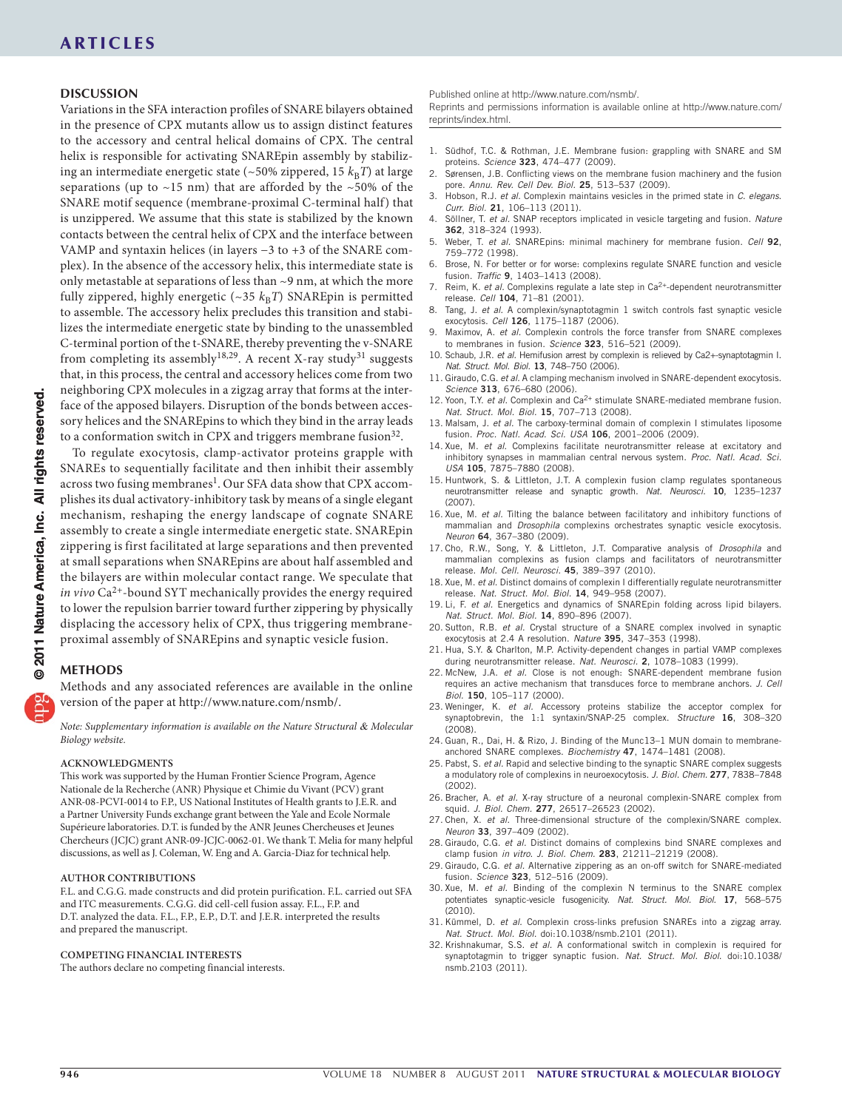# **DISCUSSION**

Variations in the SFA interaction profiles of SNARE bilayers obtained in the presence of CPX mutants allow us to assign distinct features to the accessory and central helical domains of CPX. The central helix is responsible for activating SNAREpin assembly by stabilizing an intermediate energetic state ( $\sim$ 50% zippered, 15  $k_B$ *T*) at large separations (up to  $\sim$ 15 nm) that are afforded by the  $\sim$ 50% of the SNARE motif sequence (membrane-proximal C-terminal half) that is unzippered. We assume that this state is stabilized by the known contacts between the central helix of CPX and the interface between VAMP and syntaxin helices (in layers −3 to +3 of the SNARE complex). In the absence of the accessory helix, this intermediate state is only metastable at separations of less than  $\sim$ 9 nm, at which the more fully zippered, highly energetic ( $\sim$ 35  $k_B T$ ) SNAREpin is permitted to assemble. The accessory helix precludes this transition and stabilizes the intermediate energetic state by binding to the unassembled C-terminal portion of the t-SNARE, thereby preventing the v-SNARE from completing its assembly<sup>[18,](#page-5-14)[29](#page-5-23)</sup>. A recent X-ray study<sup>31</sup> suggests that, in this process, the central and accessory helices come from two neighboring CPX molecules in a zigzag array that forms at the interface of the apposed bilayers. Disruption of the bonds between accessory helices and the SNAREpins to which they bind in the array leads to a conformation switch in CPX and triggers membrane fusion<sup>32</sup>.

To regulate exocytosis, clamp-activator proteins grapple with SNAREs to sequentially facilitate and then inhibit their assembly across two fusing membranes<sup>[1](#page-5-0)</sup>. Our SFA data show that CPX accomplishes its dual activatory-inhibitory task by means of a single elegant mechanism, reshaping the energy landscape of cognate SNARE assembly to create a single intermediate energetic state. SNAREpin zippering is first facilitated at large separations and then prevented at small separations when SNAREpins are about half assembled and the bilayers are within molecular contact range. We speculate that *in vivo* Ca2+-bound SYT mechanically provides the energy required to lower the repulsion barrier toward further zippering by physically displacing the accessory helix of CPX, thus triggering membraneproximal assembly of SNAREpins and synaptic vesicle fusion.

# **Methods**

Methods and any associated references are available in the online version of the paper at http://www.nature.com/nsmb/.

*Note: Supplementary information is available on the Nature [Structural](http://www.nature.com/nsmb/)* & *Molecular [Biology](http://www.nature.com/nsmb/) website.*

### **Acknowledgments**

This work was supported by the Human Frontier Science Program, Agence Nationale de la Recherche (ANR) Physique et Chimie du Vivant (PCV) grant ANR-08-PCVI-0014 to F.P., US National Institutes of Health grants to J.E.R. and a Partner University Funds exchange grant between the Yale and Ecole Normale Supérieure laboratories. D.T. is funded by the ANR Jeunes Chercheuses et Jeunes Chercheurs (JCJC) grant ANR-09-JCJC-0062-01. We thank T. Melia for many helpful discussions, as well as J. Coleman, W. Eng and A. Garcia-Diaz for technical help.

### **AUTHOR CONTRIBUTIONS**

F.L. and C.G.G. made constructs and did protein purification. F.L. carried out SFA and ITC measurements. C.G.G. did cell-cell fusion assay. F.L., F.P. and D.T. analyzed the data. F.L., F.P., E.P., D.T. and J.E.R. interpreted the results and prepared the manuscript.

### **COMPETING FINANCIAL INTERESTS**

The authors declare no competing financial interests.

Published online at http://www.nature.com/nsmb/.

Reprints and permissions information is available online at http://www.nature.com/ reprints/index.html.

- <span id="page-5-0"></span>1. Südhof, T.C. & Rothman, J.E. Membrane fusion: grappling with SNARE and SM proteins. *Science* 323, 474–477 (2009).
- <span id="page-5-4"></span>2. Sørensen, J.B. Conflicting views on the membrane fusion machinery and the fusion pore. *Annu. Rev. Cell Dev. Biol.* 25, 513–537 (2009).
- <span id="page-5-1"></span>3. Hobson, R.J. *et al.* Complexin maintains vesicles in the primed state in *C. elegans*. *Curr. Biol.* 21, 106–113 (2011).
- <span id="page-5-2"></span>4. Söllner, T. *et al.* SNAP receptors implicated in vesicle targeting and fusion. *Nature* 362, 318–324 (1993).
- <span id="page-5-3"></span>5. Weber, T. *et al.* SNAREpins: minimal machinery for membrane fusion. *Cell* 92, 759–772 (1998).
- <span id="page-5-5"></span>6. Brose, N. For better or for worse: complexins regulate SNARE function and vesicle fusion. *Traffic* 9, 1403–1413 (2008).
- 7. Reim, K. et al. Complexins regulate a late step in Ca<sup>2+</sup>-dependent neurotransmitter release. *Cell* 104, 71–81 (2001).
- 8. Tang, J. *et al.* A complexin/synaptotagmin 1 switch controls fast synaptic vesicle exocytosis. *Cell* 126, 1175–1187 (2006).
- <span id="page-5-6"></span>9. Maximov, A. *et al.* Complexin controls the force transfer from SNARE complexes to membranes in fusion. *Science* 323, 516–521 (2009).
- <span id="page-5-7"></span>10. Schaub, J.R. *et al.* Hemifusion arrest by complexin is relieved by Ca2+-synaptotagmin I. *Nat. Struct. Mol. Biol.* 13, 748–750 (2006).
- <span id="page-5-8"></span>11. Giraudo, C.G. *et al.* A clamping mechanism involved in SNARE-dependent exocytosis. *Science* 313, 676–680 (2006).
- <span id="page-5-9"></span>12. Yoon, T.Y. *et al.* Complexin and Ca<sup>2+</sup> stimulate SNARE-mediated membrane fusion. *Nat. Struct. Mol. Biol.* 15, 707–713 (2008).
- <span id="page-5-10"></span>13. Malsam, J. *et al.* The carboxy-terminal domain of complexin I stimulates liposome fusion. *Proc. Natl. Acad. Sci. USA* 106, 2001–2006 (2009).
- <span id="page-5-11"></span>14. Xue, M. *et al.* Complexins facilitate neurotransmitter release at excitatory and inhibitory synapses in mammalian central nervous system. *Proc. Natl. Acad. Sci. USA* 105, 7875–7880 (2008).
- <span id="page-5-12"></span>15. Huntwork, S. & Littleton, J.T. A complexin fusion clamp regulates spontaneous neurotransmitter release and synaptic growth. *Nat. Neurosci.* 10, 1235–1237 (2007).
- <span id="page-5-13"></span>16. Xue, M. *et al.* Tilting the balance between facilitatory and inhibitory functions of mammalian and *Drosophila* complexins orchestrates synaptic vesicle exocytosis. *Neuron* 64, 367–380 (2009).
- 17. Cho, R.W., Song, Y. & Littleton, J.T. Comparative analysis of *Drosophila* and mammalian complexins as fusion clamps and facilitators of neurotransmitter release. *Mol. Cell. Neurosci.* 45, 389–397 (2010).
- <span id="page-5-14"></span>18. Xue, M. *et al.* Distinct domains of complexin I differentially regulate neurotransmitter release. *Nat. Struct. Mol. Biol.* 14, 949–958 (2007).
- <span id="page-5-15"></span>19. Li, F. *et al.* Energetics and dynamics of SNAREpin folding across lipid bilayers. *Nat. Struct. Mol. Biol.* 14, 890–896 (2007).
- 20. Sutton, R.B. *et al.* Crystal structure of a SNARE complex involved in synaptic exocytosis at 2.4 A resolution. *Nature* 395, 347–353 (1998).
- <span id="page-5-16"></span>21. Hua, S.Y. & Charlton, M.P. Activity-dependent changes in partial VAMP complexes during neurotransmitter release. *Nat. Neurosci.* 2, 1078–1083 (1999).
- <span id="page-5-17"></span>22. McNew, J.A. *et al.* Close is not enough: SNARE-dependent membrane fusion requires an active mechanism that transduces force to membrane anchors. *J. Cell Biol.* 150, 105–117 (2000).
- <span id="page-5-18"></span>23. Weninger, K. *et al.* Accessory proteins stabilize the acceptor complex for synaptobrevin, the 1:1 syntaxin/SNAP-25 complex. *Structure* 16, 308–320 (2008).
- <span id="page-5-19"></span>24. Guan, R., Dai, H. & Rizo, J. Binding of the Munc13–1 MUN domain to membraneanchored SNARE complexes. *Biochemistry* 47, 1474–1481 (2008).
- <span id="page-5-20"></span>25. Pabst, S. *et al.* Rapid and selective binding to the synaptic SNARE complex suggests a modulatory role of complexins in neuroexocytosis. *J. Biol. Chem.* 277, 7838–7848 (2002).
- 26. Bracher, A. *et al.* X-ray structure of a neuronal complexin-SNARE complex from squid. *J. Biol. Chem.* 277, 26517–26523 (2002).
- <span id="page-5-21"></span>27. Chen, X. *et al.* Three-dimensional structure of the complexin/SNARE complex. *Neuron* 33, 397–409 (2002).
- <span id="page-5-22"></span>28. Giraudo, C.G. *et al.* Distinct domains of complexins bind SNARE complexes and clamp fusion *in vitro*. *J. Biol. Chem.* 283, 21211–21219 (2008).
- <span id="page-5-23"></span>29. Giraudo, C.G. *et al.* Alternative zippering as an on-off switch for SNARE-mediated fusion. *Science* 323, 512–516 (2009).
- <span id="page-5-24"></span>30. Xue, M. *et al.* Binding of the complexin N terminus to the SNARE complex potentiates synaptic-vesicle fusogenicity. *Nat. Struct. Mol. Biol.* 17, 568–575 (2010).
- <span id="page-5-25"></span>31. Kümmel, D. *et al.* Complexin cross-links prefusion SNAREs into a zigzag array. *Nat. Struct. Mol. Biol*. doi:10.1038/nsmb.2101 (2011).
- 32. Krishnakumar, S.S. *et al.* A conformational switch in complexin is required for synaptotagmin to trigger synaptic fusion. *Nat. Struct. Mol. Biol*. doi:10.1038/ nsmb.2103 (2011).